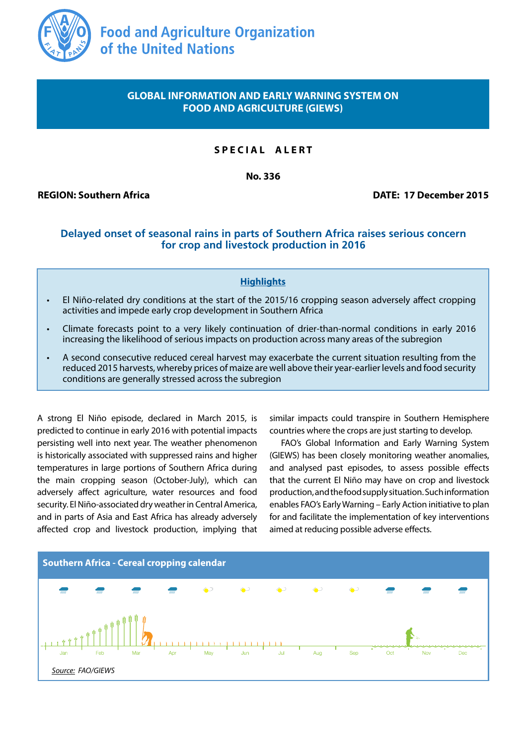

# **GLOBAL INFORMATION AND EARLY WARNING SYSTEM ON FOOD AND AGRICULTURE (GIEWS)**

# **S P E C I A L A L E R T**

**No. 336**

**REGION: Southern Africa DATE: 17 December 2015**

## **Delayed onset of seasonal rains in parts of Southern Africa raises serious concern for crop and livestock production in 2016**

## **Highlights**

- El Niño-related dry conditions at the start of the 2015/16 cropping season adversely affect cropping activities and impede early crop development in Southern Africa
- Climate forecasts point to a very likely continuation of drier-than-normal conditions in early 2016 increasing the likelihood of serious impacts on production across many areas of the subregion
- A second consecutive reduced cereal harvest may exacerbate the current situation resulting from the reduced 2015 harvests, whereby prices of maize are well above their year-earlier levels and food security conditions are generally stressed across the subregion

A strong El Niño episode, declared in March 2015, is predicted to continue in early 2016 with potential impacts persisting well into next year. The weather phenomenon is historically associated with suppressed rains and higher temperatures in large portions of Southern Africa during the main cropping season (October-July), which can adversely affect agriculture, water resources and food security. El Niño-associated dry weather in Central America, and in parts of Asia and East Africa has already adversely affected crop and livestock production, implying that similar impacts could transpire in Southern Hemisphere countries where the crops are just starting to develop.

FAO's Global Information and Early Warning System (GIEWS) has been closely monitoring weather anomalies, and analysed past episodes, to assess possible effects that the current El Niño may have on crop and livestock production, and the food supply situation. Such information enables FAO's Early Warning – Early Action initiative to plan for and facilitate the implementation of key interventions aimed at reducing possible adverse effects.

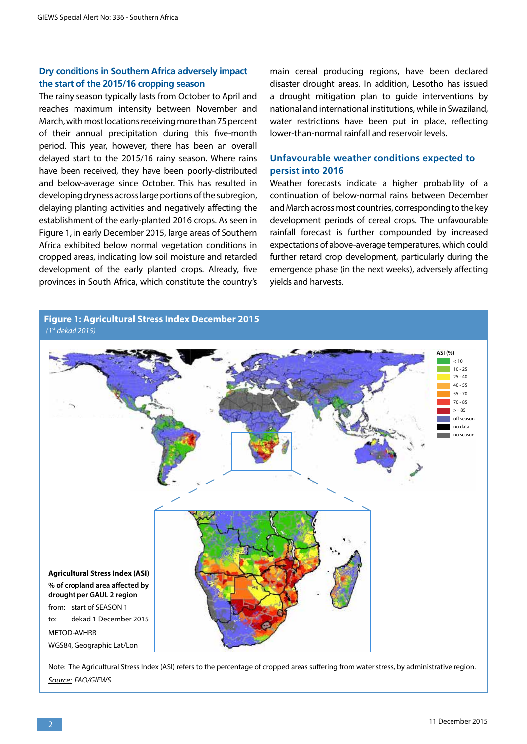#### **Dry conditions in Southern Africa adversely impact the start of the 2015/16 cropping season**

The rainy season typically lasts from October to April and reaches maximum intensity between November and March, with most locations receiving more than 75 percent of their annual precipitation during this five-month period. This year, however, there has been an overall delayed start to the 2015/16 rainy season. Where rains have been received, they have been poorly-distributed and below-average since October. This has resulted in developing dryness across large portions of the subregion, delaying planting activities and negatively affecting the establishment of the early-planted 2016 crops. As seen in Figure 1, in early December 2015, large areas of Southern Africa exhibited below normal vegetation conditions in cropped areas, indicating low soil moisture and retarded development of the early planted crops. Already, five provinces in South Africa, which constitute the country's

**Figure 1: Agricultural Stress Index December 2015**

main cereal producing regions, have been declared disaster drought areas. In addition, Lesotho has issued a drought mitigation plan to guide interventions by national and international institutions, while in Swaziland, water restrictions have been put in place, reflecting lower-than-normal rainfall and reservoir levels.

## **Unfavourable weather conditions expected to persist into 2016**

Weather forecasts indicate a higher probability of a continuation of below-normal rains between December and March across most countries, corresponding to the key development periods of cereal crops. The unfavourable rainfall forecast is further compounded by increased expectations of above-average temperatures, which could further retard crop development, particularly during the emergence phase (in the next weeks), adversely affecting yields and harvests.



Note: The Agricultural Stress Index (ASI) refers to the percentage of cropped areas suffering from water stress, by administrative region. *Source: FAO/GIEWS*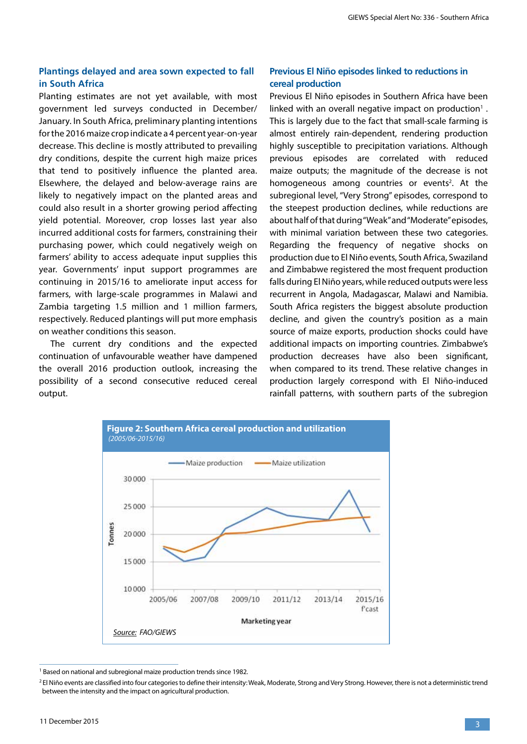## **Plantings delayed and area sown expected to fall in South Africa**

Planting estimates are not yet available, with most government led surveys conducted in December/ January. In South Africa, preliminary planting intentions for the 2016 maize crop indicate a 4 percent year-on-year decrease. This decline is mostly attributed to prevailing dry conditions, despite the current high maize prices that tend to positively influence the planted area. Elsewhere, the delayed and below-average rains are likely to negatively impact on the planted areas and could also result in a shorter growing period affecting yield potential. Moreover, crop losses last year also incurred additional costs for farmers, constraining their purchasing power, which could negatively weigh on farmers' ability to access adequate input supplies this year. Governments' input support programmes are continuing in 2015/16 to ameliorate input access for farmers, with large-scale programmes in Malawi and Zambia targeting 1.5 million and 1 million farmers, respectively. Reduced plantings will put more emphasis on weather conditions this season.

The current dry conditions and the expected continuation of unfavourable weather have dampened the overall 2016 production outlook, increasing the possibility of a second consecutive reduced cereal output.

## **Previous El Niño episodes linked to reductions in cereal production**

Previous El Niño episodes in Southern Africa have been linked with an overall negative impact on production<sup>1</sup>. This is largely due to the fact that small-scale farming is almost entirely rain-dependent, rendering production highly susceptible to precipitation variations. Although previous episodes are correlated with reduced maize outputs; the magnitude of the decrease is not homogeneous among countries or events<sup>2</sup>. At the subregional level, "Very Strong" episodes, correspond to the steepest production declines, while reductions are about half of that during "Weak" and "Moderate" episodes, with minimal variation between these two categories. Regarding the frequency of negative shocks on production due to El Niño events, South Africa, Swaziland and Zimbabwe registered the most frequent production falls during El Niño years, while reduced outputs were less recurrent in Angola, Madagascar, Malawi and Namibia. South Africa registers the biggest absolute production decline, and given the country's position as a main source of maize exports, production shocks could have additional impacts on importing countries. Zimbabwe's production decreases have also been significant, when compared to its trend. These relative changes in production largely correspond with El Niño-induced rainfall patterns, with southern parts of the subregion



<sup>&</sup>lt;sup>1</sup> Based on national and subregional maize production trends since 1982.

<sup>&</sup>lt;sup>2</sup> El Niño events are classified into four categories to define their intensity: Weak, Moderate, Strong and Very Strong. However, there is not a deterministic trend between the intensity and the impact on agricultural production.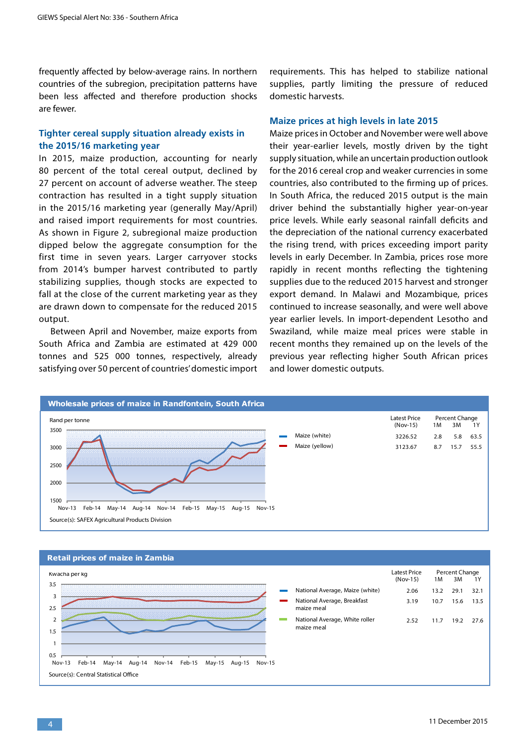frequently affected by below-average rains. In northern countries of the subregion, precipitation patterns have been less affected and therefore production shocks are fewer.

#### **Tighter cereal supply situation already exists in the 2015/16 marketing year**

In 2015, maize production, accounting for nearly 80 percent of the total cereal output, declined by 27 percent on account of adverse weather. The steep contraction has resulted in a tight supply situation in the 2015/16 marketing year (generally May/April) and raised import requirements for most countries. As shown in Figure 2, subregional maize production dipped below the aggregate consumption for the first time in seven years. Larger carryover stocks from 2014's bumper harvest contributed to partly stabilizing supplies, though stocks are expected to fall at the close of the current marketing year as they are drawn down to compensate for the reduced 2015 output.

Between April and November, maize exports from South Africa and Zambia are estimated at 429 000 tonnes and 525 000 tonnes, respectively, already satisfying over 50 percent of countries' domestic import requirements. This has helped to stabilize national supplies, partly limiting the pressure of reduced domestic harvests.

#### **Maize prices at high levels in late 2015**

Maize prices in October and November were well above their year-earlier levels, mostly driven by the tight supply situation, while an uncertain production outlook for the 2016 cereal crop and weaker currencies in some countries, also contributed to the firming up of prices. In South Africa, the reduced 2015 output is the main driver behind the substantially higher year-on-year price levels. While early seasonal rainfall deficits and the depreciation of the national currency exacerbated the rising trend, with prices exceeding import parity levels in early December. In Zambia, prices rose more rapidly in recent months reflecting the tightening supplies due to the reduced 2015 harvest and stronger export demand. In Malawi and Mozambique, prices continued to increase seasonally, and were well above year earlier levels. In import-dependent Lesotho and Swaziland, while maize meal prices were stable in recent months they remained up on the levels of the previous year reflecting higher South African prices and lower domestic outputs.



#### Latest Price (Nov-15) 1M 3M 1Y **Retail prices of maize in Zambia** Percent Change 0.5 1 1.5 2  $2.5$ 3 3.5 Nov-13 Feb-14 May-14 Aug-14 Nov-14 Feb-15 May-15 Aug-15 Nov-15 National Average, Maize (white) National Average, Breakfast maize meal National Average, White roller maize meal Kwacha per kg Source(s): Central Statistical Office 2.06 3.19 2.52 13.2 10.7 11.7 29.1 15.6 19.2 32.1 13.5 27.6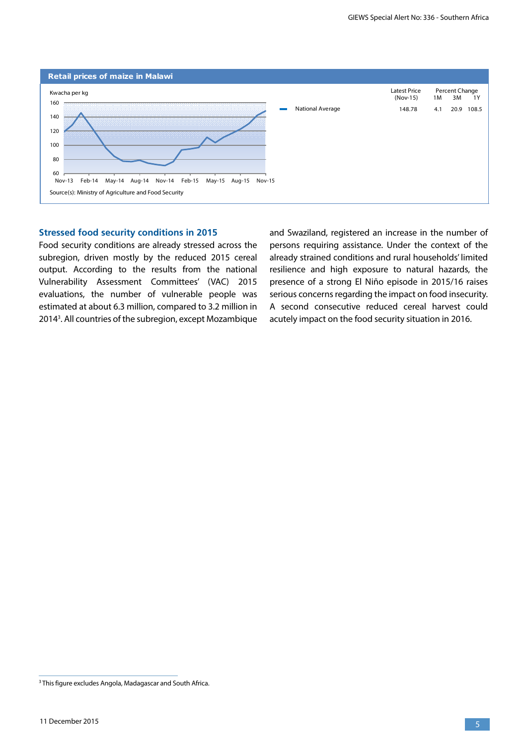

#### **Stressed food security conditions in 2015**

Food security conditions are already stressed across the subregion, driven mostly by the reduced 2015 cereal output. According to the results from the national Vulnerability Assessment Committees' (VAC) 2015 evaluations, the number of vulnerable people was estimated at about 6.3 million, compared to 3.2 million in 20143 . All countries of the subregion, except Mozambique and Swaziland, registered an increase in the number of persons requiring assistance. Under the context of the already strained conditions and rural households' limited resilience and high exposure to natural hazards, the presence of a strong El Niño episode in 2015/16 raises serious concerns regarding the impact on food insecurity. A second consecutive reduced cereal harvest could acutely impact on the food security situation in 2016.

<sup>&</sup>lt;sup>3</sup> This figure excludes Angola, Madagascar and South Africa.